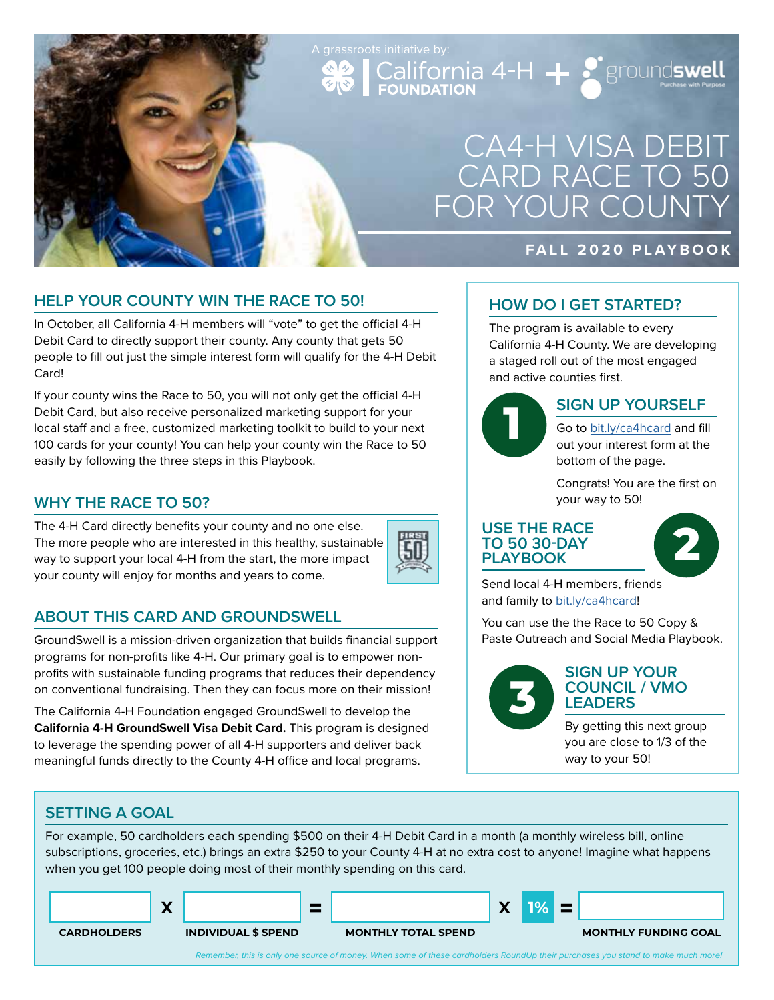# CA4-H VISA DEBIT CARD RACE TO 50 FOR YOUR COUNTY

### **FALL 2020 PLAYBOOK**

# **HELP YOUR COUNTY WIN THE RACE TO 50!**

In October, all California 4-H members will "vote" to get the official 4-H Debit Card to directly support their county. Any county that gets 50 people to fill out just the simple interest form will qualify for the 4-H Debit Card!

If your county wins the Race to 50, you will not only get the official 4-H Debit Card, but also receive personalized marketing support for your local staff and a free, customized marketing toolkit to build to your next 100 cards for your county! You can help your county win the Race to 50 easily by following the three steps in this Playbook.

## **WHY THE RACE TO 50?**

The 4-H Card directly benefits your county and no one else. The more people who are interested in this healthy, sustainable way to support your local 4-H from the start, the more impact your county will enjoy for months and years to come.



# **ABOUT THIS CARD AND GROUNDSWELL**

GroundSwell is a mission-driven organization that builds financial support programs for non-profits like 4-H. Our primary goal is to empower nonprofits with sustainable funding programs that reduces their dependency on conventional fundraising. Then they can focus more on their mission!

The California 4-H Foundation engaged GroundSwell to develop the **California 4-H GroundSwell Visa Debit Card.** This program is designed to leverage the spending power of all 4-H supporters and deliver back meaningful funds directly to the County 4-H office and local programs.

### **HOW DO I GET STARTED?**

The program is available to every California 4-H County. We are developing a staged roll out of the most engaged and active counties first.



A grassroots initiative by:<br>
California 4-H  $\leftarrow$  groundswell

### **SIGN UP YOURSELF**

Go to bit.ly/ca4hcard and fill out your interest form at the bottom of the page.

Congrats! You are the first on your way to 50!

#### **USE THE RACE TO 50 30-DAY PLAYBOOK**



Send local 4-H members, friends and family to bit.ly/ca4hcard!

You can use the the Race to 50 Copy & Paste Outreach and Social Media Playbook.



#### **SIGN UP YOUR COUNCIL / VMO LEADERS**

By getting this next group you are close to 1/3 of the way to your 50!

### **SETTING A GOAL**

For example, 50 cardholders each spending \$500 on their 4-H Debit Card in a month (a monthly wireless bill, online subscriptions, groceries, etc.) brings an extra \$250 to your County 4-H at no extra cost to anyone! Imagine what happens when you get 100 people doing most of their monthly spending on this card.

|                    | $\bullet$<br>$\boldsymbol{r}$ |                            |                            | v<br>$\boldsymbol{r}$ |  |                             |
|--------------------|-------------------------------|----------------------------|----------------------------|-----------------------|--|-----------------------------|
| <b>CARDHOLDERS</b> |                               | <b>INDIVIDUAL \$ SPEND</b> | <b>MONTHLY TOTAL SPEND</b> |                       |  | <b>MONTHLY FUNDING GOAL</b> |

*Remember, this is only one source of money. When some of these cardholders RoundUp their purchases you stand to make much more!*